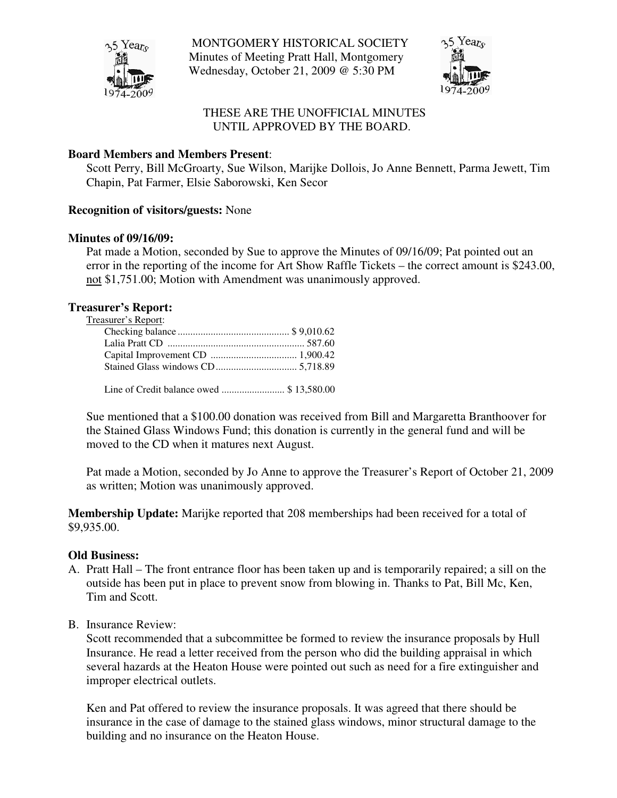

MONTGOMERY HISTORICAL SOCIETY Minutes of Meeting Pratt Hall, Montgomery Wednesday, October 21, 2009 @ 5:30 PM



# THESE ARE THE UNOFFICIAL MINUTES UNTIL APPROVED BY THE BOARD.

## **Board Members and Members Present**:

Scott Perry, Bill McGroarty, Sue Wilson, Marijke Dollois, Jo Anne Bennett, Parma Jewett, Tim Chapin, Pat Farmer, Elsie Saborowski, Ken Secor

### **Recognition of visitors/guests:** None

### **Minutes of 09/16/09:**

Pat made a Motion, seconded by Sue to approve the Minutes of 09/16/09; Pat pointed out an error in the reporting of the income for Art Show Raffle Tickets – the correct amount is \$243.00, not \$1,751.00; Motion with Amendment was unanimously approved.

### **Treasurer's Report:**

Treasurer's Report:

Line of Credit balance owed ......................... \$ 13,580.00

Sue mentioned that a \$100.00 donation was received from Bill and Margaretta Branthoover for the Stained Glass Windows Fund; this donation is currently in the general fund and will be moved to the CD when it matures next August.

Pat made a Motion, seconded by Jo Anne to approve the Treasurer's Report of October 21, 2009 as written; Motion was unanimously approved.

**Membership Update:** Marijke reported that 208 memberships had been received for a total of \$9,935.00.

### **Old Business:**

- A. Pratt Hall The front entrance floor has been taken up and is temporarily repaired; a sill on the outside has been put in place to prevent snow from blowing in. Thanks to Pat, Bill Mc, Ken, Tim and Scott.
- B. Insurance Review:

Scott recommended that a subcommittee be formed to review the insurance proposals by Hull Insurance. He read a letter received from the person who did the building appraisal in which several hazards at the Heaton House were pointed out such as need for a fire extinguisher and improper electrical outlets.

Ken and Pat offered to review the insurance proposals. It was agreed that there should be insurance in the case of damage to the stained glass windows, minor structural damage to the building and no insurance on the Heaton House.